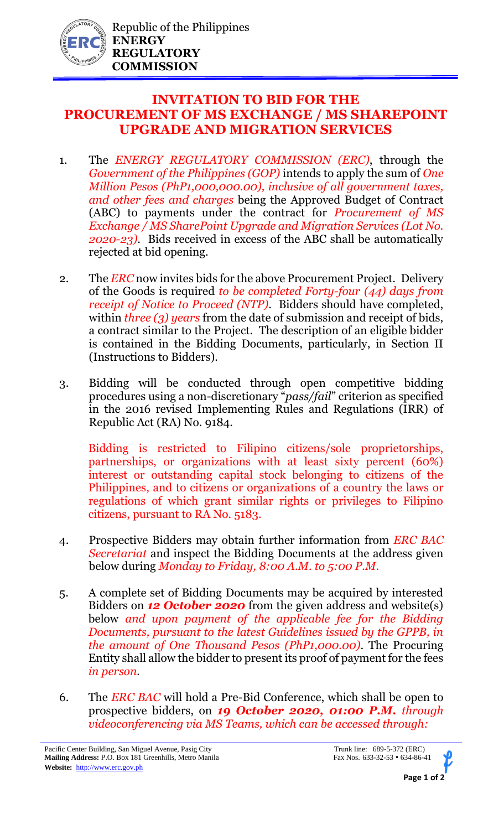

## **INVITATION TO BID FOR THE PROCUREMENT OF MS EXCHANGE / MS SHAREPOINT UPGRADE AND MIGRATION SERVICES**

- 1. The *ENERGY REGULATORY COMMISSION (ERC)*, through the *Government of the Philippines (GOP)* intends to apply the sum of *One Million Pesos (PhP1,000,000.00), inclusive of all government taxes, and other fees and charges* being the Approved Budget of Contract (ABC) to payments under the contract for *Procurement of MS Exchange / MS SharePoint Upgrade and Migration Services (Lot No. 2020-23)*. Bids received in excess of the ABC shall be automatically rejected at bid opening.
- 2. The *ERC* now invites bids for the above Procurement Project. Delivery of the Goods is required *to be completed Forty-four (44) days from receipt of Notice to Proceed (NTP).* Bidders should have completed, within *three (3) years* from the date of submission and receipt of bids, a contract similar to the Project. The description of an eligible bidder is contained in the Bidding Documents, particularly, in Section II (Instructions to Bidders).
- 3. Bidding will be conducted through open competitive bidding procedures using a non-discretionary "*pass/fail*" criterion as specified in the 2016 revised Implementing Rules and Regulations (IRR) of Republic Act (RA) No. 9184.

Bidding is restricted to Filipino citizens/sole proprietorships, partnerships, or organizations with at least sixty percent (60%) interest or outstanding capital stock belonging to citizens of the Philippines, and to citizens or organizations of a country the laws or regulations of which grant similar rights or privileges to Filipino citizens, pursuant to RA No. 5183.

- 4. Prospective Bidders may obtain further information from *ERC BAC Secretariat* and inspect the Bidding Documents at the address given below during *Monday to Friday, 8:00 A.M. to 5:00 P.M*.
- 5. A complete set of Bidding Documents may be acquired by interested Bidders on *12 October 2020* from the given address and website(s) below *and upon payment of the applicable fee for the Bidding Documents, pursuant to the latest Guidelines issued by the GPPB, in the amount of One Thousand Pesos (PhP1,000.00)*. The Procuring Entity shall allow the bidder to present its proof of payment for the fees *in person.*
- 6. The *ERC BAC* will hold a Pre-Bid Conference, which shall be open to prospective bidders, on *19 October 2020, 01:00 P.M. through videoconferencing via MS Teams, which can be accessed through:*